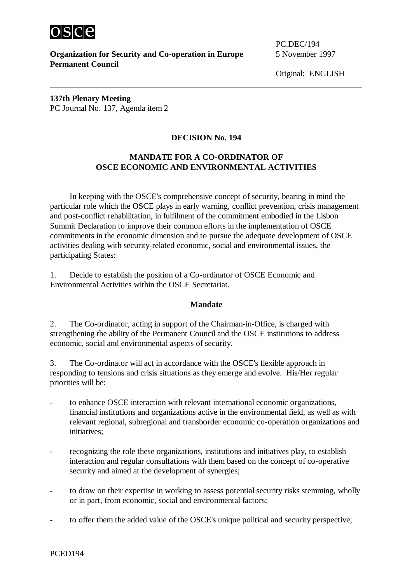

 $\overline{a}$ 

**Organization for Security and Co-operation in Europe** 5 November 1997 **Permanent Council**

PC.DEC/194

Original: ENGLISH

**137th Plenary Meeting** PC Journal No. 137, Agenda item 2

## **DECISION No. 194**

## **MANDATE FOR A CO-ORDINATOR OF OSCE ECONOMIC AND ENVIRONMENTAL ACTIVITIES**

In keeping with the OSCE's comprehensive concept of security, bearing in mind the particular role which the OSCE plays in early warning, conflict prevention, crisis management and post-conflict rehabilitation, in fulfilment of the commitment embodied in the Lisbon Summit Declaration to improve their common efforts in the implementation of OSCE commitments in the economic dimension and to pursue the adequate development of OSCE activities dealing with security-related economic, social and environmental issues, the participating States:

1. Decide to establish the position of a Co-ordinator of OSCE Economic and Environmental Activities within the OSCE Secretariat.

## **Mandate**

2. The Co-ordinator, acting in support of the Chairman-in-Office, is charged with strengthening the ability of the Permanent Council and the OSCE institutions to address economic, social and environmental aspects of security.

3. The Co-ordinator will act in accordance with the OSCE's flexible approach in responding to tensions and crisis situations as they emerge and evolve. His/Her regular priorities will be:

- to enhance OSCE interaction with relevant international economic organizations, financial institutions and organizations active in the environmental field, as well as with relevant regional, subregional and transborder economic co-operation organizations and initiatives;
- recognizing the role these organizations, institutions and initiatives play, to establish interaction and regular consultations with them based on the concept of co-operative security and aimed at the development of synergies;
- to draw on their expertise in working to assess potential security risks stemming, wholly or in part, from economic, social and environmental factors;
- to offer them the added value of the OSCE's unique political and security perspective;